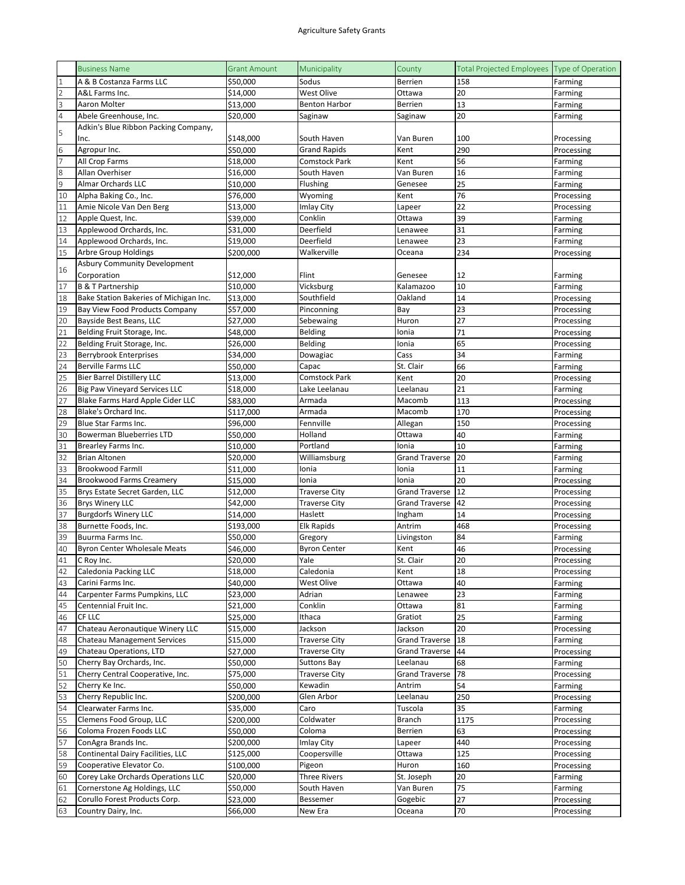|                | <b>Business Name</b>                   | <b>Grant Amount</b> | Municipality         | County                | Total Projected Employees Type of Operation |            |
|----------------|----------------------------------------|---------------------|----------------------|-----------------------|---------------------------------------------|------------|
| $\overline{1}$ | A & B Costanza Farms LLC               | \$50,000            | Sodus                | Berrien               | 158                                         | Farming    |
| $\overline{2}$ | A&L Farms Inc.                         | \$14,000            | West Olive           | Ottawa                | 20                                          | Farming    |
| 3              | Aaron Molter                           | \$13,000            | <b>Benton Harbor</b> | <b>Berrien</b>        | 13                                          | Farming    |
| $\sqrt{4}$     | Abele Greenhouse, Inc.                 | \$20,000            | Saginaw              | Saginaw               | 20                                          | Farming    |
|                | Adkin's Blue Ribbon Packing Company,   |                     |                      |                       |                                             |            |
| 5              | Inc.                                   | \$148,000           | South Haven          | Van Buren             | 100                                         | Processing |
| $\sqrt{6}$     | Agropur Inc.                           | \$50,000            | <b>Grand Rapids</b>  | Kent                  | 290                                         | Processing |
| 7              | All Crop Farms                         | \$18,000            | <b>Comstock Park</b> | Kent                  | 56                                          | Farming    |
| $\,8$          | Allan Overhiser                        | \$16,000            | South Haven          | Van Buren             | 16                                          | Farming    |
| $\overline{9}$ | <b>Almar Orchards LLC</b>              | \$10,000            | Flushing             | Genesee               | 25                                          | Farming    |
| 10             | Alpha Baking Co., Inc.                 | \$76,000            | Wyoming              | Kent                  | 76                                          | Processing |
| 11             | Amie Nicole Van Den Berg               | \$13,000            | Imlay City           | Lapeer                | 22                                          | Processing |
| 12             | Apple Quest, Inc.                      | \$39,000            | Conklin              | Ottawa                | 39                                          | Farming    |
| 13             | Applewood Orchards, Inc.               | \$31,000            | Deerfield            | Lenawee               | 31                                          | Farming    |
| 14             | Applewood Orchards, Inc.               | \$19,000            | Deerfield            | Lenawee               | 23                                          | Farming    |
| 15             | Arbre Group Holdings                   | \$200,000           | Walkerville          | Oceana                | 234                                         | Processing |
|                | <b>Asbury Community Development</b>    |                     |                      |                       |                                             |            |
| 16             | Corporation                            | \$12,000            | Flint                | Genesee               | 12                                          | Farming    |
| 17             | <b>B &amp; T Partnership</b>           | \$10,000            | Vicksburg            | Kalamazoo             | 10                                          | Farming    |
| 18             | Bake Station Bakeries of Michigan Inc. | \$13,000            | Southfield           | Oakland               | 14                                          | Processing |
| 19             | Bay View Food Products Company         | \$57,000            | Pinconning           | Bay                   | 23                                          | Processing |
| 20             | Bayside Best Beans, LLC                | \$27,000            | Sebewaing            | Huron                 | 27                                          | Processing |
| 21             | Belding Fruit Storage, Inc.            | \$48,000            | Belding              | Ionia                 | 71                                          | Processing |
| 22             | Belding Fruit Storage, Inc.            | \$26,000            | Belding              | Ionia                 | 65                                          | Processing |
| 23             | <b>Berrybrook Enterprises</b>          | \$34,000            | Dowagiac             | Cass                  | 34                                          | Farming    |
| 24             | <b>Berville Farms LLC</b>              | \$50,000            | Capac                | St. Clair             | 66                                          | Farming    |
| 25             | <b>Bier Barrel Distillery LLC</b>      | \$13,000            | Comstock Park        | Kent                  | 20                                          | Processing |
| 26             | <b>Big Paw Vineyard Services LLC</b>   | \$18,000            | Lake Leelanau        | Leelanau              | 21                                          | Farming    |
| 27             | Blake Farms Hard Apple Cider LLC       | \$83,000            | Armada               | Macomb                | 113                                         | Processing |
| 28             | Blake's Orchard Inc.                   | \$117,000           | Armada               | Macomb                | 170                                         | Processing |
| 29             | Blue Star Farms Inc.                   | \$96,000            | Fennville            | Allegan               | 150                                         | Processing |
| 30             | <b>Bowerman Blueberries LTD</b>        | \$50,000            | Holland              | Ottawa                | 40                                          | Farming    |
| 31             | Brearley Farms Inc.                    | \$10,000            | Portland             | Ionia                 | 10                                          | Farming    |
| 32             | <b>Brian Altonen</b>                   | \$20,000            | Williamsburg         | <b>Grand Traverse</b> | 20                                          | Farming    |
| 33             | <b>Brookwood FarmII</b>                | \$11,000            | Ionia                | Ionia                 | 11                                          | Farming    |
| 34             | <b>Brookwood Farms Creamery</b>        | \$15,000            | Ionia                | Ionia                 | 20                                          | Processing |
| 35             | Brys Estate Secret Garden, LLC         | \$12,000            | <b>Traverse City</b> | <b>Grand Traverse</b> | 12                                          | Processing |
| 36             | <b>Brys Winery LLC</b>                 | \$42,000            | <b>Traverse City</b> | <b>Grand Traverse</b> | 42                                          | Processing |
| 37             | <b>Burgdorfs Winery LLC</b>            | \$14,000            | Haslett              | Ingham                | 14                                          | Processing |
| 38             | Burnette Foods, Inc.                   | \$193,000           | Elk Rapids           | Antrim                | 468                                         | Processing |
| 39             | Buurma Farms Inc.                      | \$50,000            | Gregory              | Livingston            | 84                                          | Farming    |
| 40             | <b>Byron Center Wholesale Meats</b>    | \$46,000            | <b>Byron Center</b>  | Kent                  | 46                                          | Processing |
| 41             | C Roy Inc.                             | \$20,000            | Yale                 | St. Clair             | 20                                          | Processing |
| 42             | Caledonia Packing LLC                  | \$18,000            | Caledonia            | Kent                  | 18                                          | Processing |
| 43             | Carini Farms Inc.                      | \$40,000            | West Olive           | Ottawa                | 40                                          | Farming    |
| 44             | Carpenter Farms Pumpkins, LLC          | \$23,000            | Adrian               | Lenawee               | 23                                          | Farming    |
| 45             | Centennial Fruit Inc.                  | \$21,000            | Conklin              | Ottawa                | 81                                          | Farming    |
| 46             | CF LLC                                 | \$25,000            | Ithaca               | Gratiot               | 25                                          | Farming    |
| 47             | Chateau Aeronautique Winery LLC        | \$15,000            | Jackson              | Jackson               | 20                                          | Processing |
| 48             | <b>Chateau Management Services</b>     | \$15,000            | <b>Traverse City</b> | <b>Grand Traverse</b> | 18                                          | Farming    |
| 49             | Chateau Operations, LTD                | \$27,000            | <b>Traverse City</b> | <b>Grand Traverse</b> | 44                                          | Processing |
| 50             | Cherry Bay Orchards, Inc.              | \$50,000            | <b>Suttons Bay</b>   | Leelanau              | 68                                          | Farming    |
| 51             | Cherry Central Cooperative, Inc.       | \$75,000            | <b>Traverse City</b> | <b>Grand Traverse</b> | 78                                          | Processing |
| 52             | Cherry Ke Inc.                         | \$50,000            | Kewadin              | Antrim                | 54                                          | Farming    |
| 53             | Cherry Republic Inc.                   | \$200,000           | Glen Arbor           | Leelanau              | 250                                         | Processing |
| 54             | Clearwater Farms Inc.                  | \$35,000            | Caro                 | Tuscola               | 35                                          | Farming    |
| 55             | Clemens Food Group, LLC                | \$200,000           | Coldwater            | Branch                | 1175                                        | Processing |
| 56             | Coloma Frozen Foods LLC                | \$50,000            | Coloma               | Berrien               | 63                                          | Processing |
| 57             | ConAgra Brands Inc.                    | \$200,000           | Imlay City           | Lapeer                | 440                                         | Processing |
| 58             | Continental Dairy Facilities, LLC      | \$125,000           | Coopersville         | Ottawa                | 125                                         | Processing |
| 59             | Cooperative Elevator Co.               | \$100,000           | Pigeon               | Huron                 | 160                                         | Processing |
| 60             | Corey Lake Orchards Operations LLC     | \$20,000            | Three Rivers         | St. Joseph            | 20                                          | Farming    |
| 61             | Cornerstone Ag Holdings, LLC           | \$50,000            | South Haven          | Van Buren             | 75                                          | Farming    |
| 62             | Corullo Forest Products Corp.          | \$23,000            | Bessemer             | Gogebic               | 27                                          | Processing |
| 63             | Country Dairy, Inc.                    | \$66,000            | New Era              | Oceana                | 70                                          | Processing |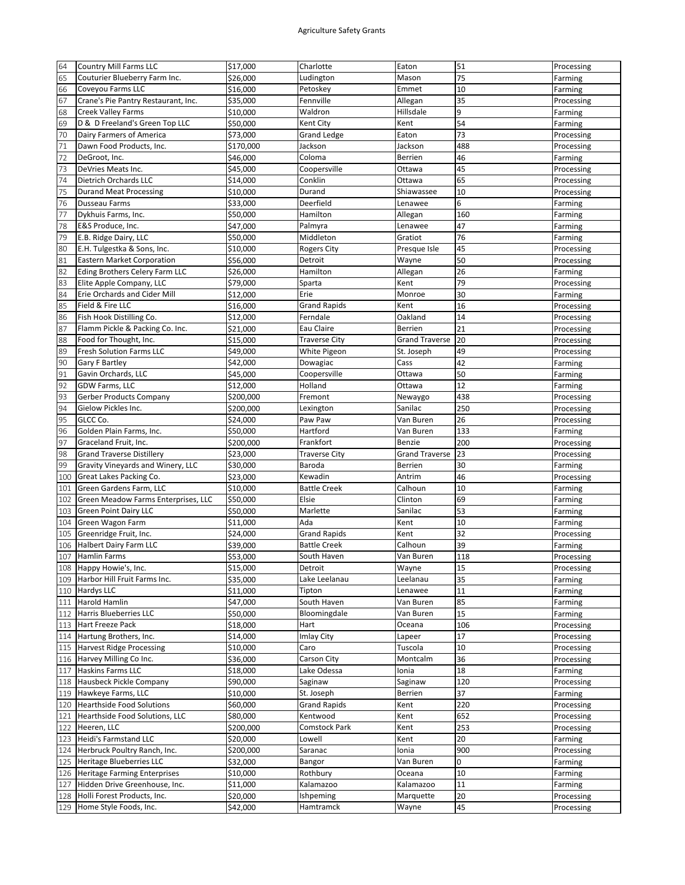| 64         | <b>Country Mill Farms LLC</b>                         | \$17,000             | Charlotte              | Eaton                 | 51       | Processing               |
|------------|-------------------------------------------------------|----------------------|------------------------|-----------------------|----------|--------------------------|
| 65         | Couturier Blueberry Farm Inc.                         | \$26.000             | Ludington              | Mason                 | 75       | Farming                  |
| 66         | Coveyou Farms LLC                                     | \$16,000             | Petoskey               | Emmet                 | 10       | Farming                  |
| 67         | Crane's Pie Pantry Restaurant, Inc.                   | \$35,000             | Fennville              | Allegan               | 35       | Processing               |
| 68         | Creek Valley Farms                                    | \$10,000             | Waldron                | Hillsdale             | 9        |                          |
|            | D & D Freeland's Green Top LLC                        |                      | Kent City              | Kent                  | 54       | Farming                  |
| 69         |                                                       | \$50,000             |                        |                       |          | Farming                  |
| 70         | Dairy Farmers of America                              | \$73,000             | <b>Grand Ledge</b>     | Eaton                 | 73       | Processing               |
| 71         | Dawn Food Products, Inc.                              | \$170,000            | Jackson                | Jackson               | 488      | Processing               |
| 72         | DeGroot, Inc.                                         | \$46,000             | Coloma                 | <b>Berrien</b>        | 46       | Farming                  |
| 73         | DeVries Meats Inc.                                    | \$45,000             | Coopersville           | Ottawa                | 45       | Processing               |
| $74\,$     | Dietrich Orchards LLC                                 | \$14,000             | Conklin                | Ottawa                | 65       | Processing               |
| 75         | <b>Durand Meat Processing</b>                         | \$10,000             | Durand                 | Shiawassee            | 10       | Processing               |
| 76         | Dusseau Farms                                         | \$33,000             | Deerfield              | Lenawee               | 6        | Farming                  |
| 77         | Dykhuis Farms, Inc.                                   | \$50,000             | Hamilton               | Allegan               | 160      | Farming                  |
| 78         | E&S Produce, Inc.                                     | \$47,000             | Palmyra                | Lenawee               | 47       | Farming                  |
| 79         | E.B. Ridge Dairy, LLC                                 | \$50,000             | Middleton              | Gratiot               | 76       | Farming                  |
| 80         | E.H. Tulgestka & Sons, Inc.                           | \$10,000             | Rogers City            | Presque Isle          | 45       | Processing               |
| 81         | <b>Eastern Market Corporation</b>                     | \$56,000             | Detroit                | Wayne                 | 50       | Processing               |
| 82         |                                                       |                      |                        |                       | 26       |                          |
|            | Eding Brothers Celery Farm LLC                        | \$26,000             | Hamilton               | Allegan               |          | Farming                  |
| 83         | Elite Apple Company, LLC                              | \$79,000             | Sparta                 | Kent                  | 79       | Processing               |
| 84         | Erie Orchards and Cider Mill                          | \$12,000             | Erie                   | Monroe                | 30       | Farming                  |
| 85         | Field & Fire LLC                                      | \$16,000             | <b>Grand Rapids</b>    | Kent                  | 16       | Processing               |
| 86         | Fish Hook Distilling Co.                              | \$12,000             | Ferndale               | Oakland               | 14       | Processing               |
| 87         | Flamm Pickle & Packing Co. Inc.                       | \$21,000             | Eau Claire             | Berrien               | 21       | Processing               |
| 88         | Food for Thought, Inc.                                | \$15,000             | <b>Traverse City</b>   | <b>Grand Traverse</b> | 20       | Processing               |
| 89         | Fresh Solution Farms LLC                              | \$49,000             | White Pigeon           | St. Joseph            | 49       | Processing               |
| 90         | Gary F Bartley                                        | \$42,000             | Dowagiac               | Cass                  | 42       | Farming                  |
| 91         | Gavin Orchards, LLC                                   | \$45,000             | Coopersville           | Ottawa                | 50       | Farming                  |
| 92         | GDW Farms, LLC                                        | \$12,000             | Holland                | Ottawa                | 12       | Farming                  |
| 93         | <b>Gerber Products Company</b>                        | \$200,000            | Fremont                | Newaygo               | 438      | Processing               |
| 94         | Gielow Pickles Inc.                                   | \$200,000            |                        | Sanilac               | 250      |                          |
| 95         | GLCC Co.                                              |                      | Lexington<br>Paw Paw   | Van Buren             | 26       | Processing               |
|            |                                                       | \$24,000             |                        |                       |          | Processing               |
| 96         | Golden Plain Farms, Inc.                              | \$50,000             | Hartford               | Van Buren             | 133      | Farming                  |
|            |                                                       |                      |                        |                       |          |                          |
| 97         | Graceland Fruit, Inc.                                 | \$200,000            | Frankfort              | Benzie                | 200      | Processing               |
| 98         | <b>Grand Traverse Distillery</b>                      | \$23,000             | Traverse City          | <b>Grand Traverse</b> | 23       | Processing               |
| 99         | Gravity Vineyards and Winery, LLC                     | \$30,000             | Baroda                 | <b>Berrien</b>        | 30       | Farming                  |
| 100        | Great Lakes Packing Co.                               | \$23,000             | Kewadin                | Antrim                | 46       | Processing               |
| 101        | Green Gardens Farm, LLC                               | \$10,000             | Battle Creek           | Calhoun               | 10       | Farming                  |
| 102        | Green Meadow Farms Enterprises, LLC                   | \$50,000             | Elsie                  | Clinton               | 69       | Farming                  |
| 103        | <b>Green Point Dairy LLC</b>                          | \$50,000             | Marlette               | Sanilac               | 53       | Farming                  |
| 104        | Green Wagon Farm                                      | \$11,000             | Ada                    |                       | 10       | Farming                  |
| 105        | Greenridge Fruit, Inc.                                |                      | Grand Rapids           | Kent<br>Kent          | 32       |                          |
|            |                                                       | \$24,000             |                        |                       |          | Processing               |
| 106        | <b>Halbert Dairy Farm LLC</b>                         | \$39,000             | <b>Battle Creek</b>    | Calhoun               | 39       | Farming                  |
| 107        | <b>Hamlin Farms</b>                                   | \$53,000             | South Haven            | Van Buren             | 118      | Processing               |
|            | 108 Happy Howie's, Inc.                               | \$15,000             | Detroit                | Wayne                 | 15       | Processing               |
| 109        | Harbor Hill Fruit Farms Inc.                          | \$35,000             | Lake Leelanau          | Leelanau              | 35       | Farming                  |
| 110        | <b>Hardys LLC</b>                                     | \$11,000             | Tipton                 | Lenawee               | 11       | Farming                  |
| 111        | Harold Hamlin                                         | \$47,000             | South Haven            | Van Buren             | 85       | Farming                  |
| 112        | Harris Blueberries LLC                                | \$50,000             | Bloomingdale           | Van Buren             | 15       | Farming                  |
| 113        | Hart Freeze Pack                                      | \$18,000             | Hart                   | Oceana                | 106      | Processing               |
| 114        | Hartung Brothers, Inc.                                | \$14,000             | Imlay City             | Lapeer                | 17       | Processing               |
| 115        | <b>Harvest Ridge Processing</b>                       | \$10,000             | Caro                   | Tuscola               | 10       | Processing               |
| 116        | Harvey Milling Co Inc.                                | \$36,000             | Carson City            | Montcalm              | 36       | Processing               |
| 117        | Haskins Farms LLC                                     | \$18,000             | Lake Odessa            | Ionia                 | 18       | Farming                  |
| 118        | Hausbeck Pickle Company                               | \$90,000             | Saginaw                | Saginaw               | 120      | Processing               |
| 119        | Hawkeye Farms, LLC                                    | \$10,000             | St. Joseph             | Berrien               | 37       | Farming                  |
| 120        | <b>Hearthside Food Solutions</b>                      | \$60,000             | Grand Rapids           | Kent                  | 220      | Processing               |
| 121        |                                                       | \$80,000             | Kentwood               |                       | 652      |                          |
|            | Hearthside Food Solutions, LLC                        |                      |                        | Kent                  |          | Processing               |
| 122        | Heeren, LLC                                           | \$200,000            | Comstock Park          | Kent                  | 253      | Processing               |
| 123        | <b>Heidi's Farmstand LLC</b>                          | \$20,000             | Lowell                 | Kent                  | 20       | Farming                  |
| 124        | Herbruck Poultry Ranch, Inc.                          | \$200,000            | Saranac                | Ionia                 | 900      | Processing               |
| 125        | Heritage Blueberries LLC                              | \$32,000             | Bangor                 | Van Buren             | 0        | Farming                  |
| 126        | Heritage Farming Enterprises                          | \$10,000             | Rothbury               | Oceana                | 10       | Farming                  |
| 127        | Hidden Drive Greenhouse, Inc.                         | \$11,000             | Kalamazoo              | Kalamazoo             | 11       | Farming                  |
| 128<br>129 | Holli Forest Products, Inc.<br>Home Style Foods, Inc. | \$20,000<br>\$42,000 | Ishpeming<br>Hamtramck | Marquette<br>Wayne    | 20<br>45 | Processing<br>Processing |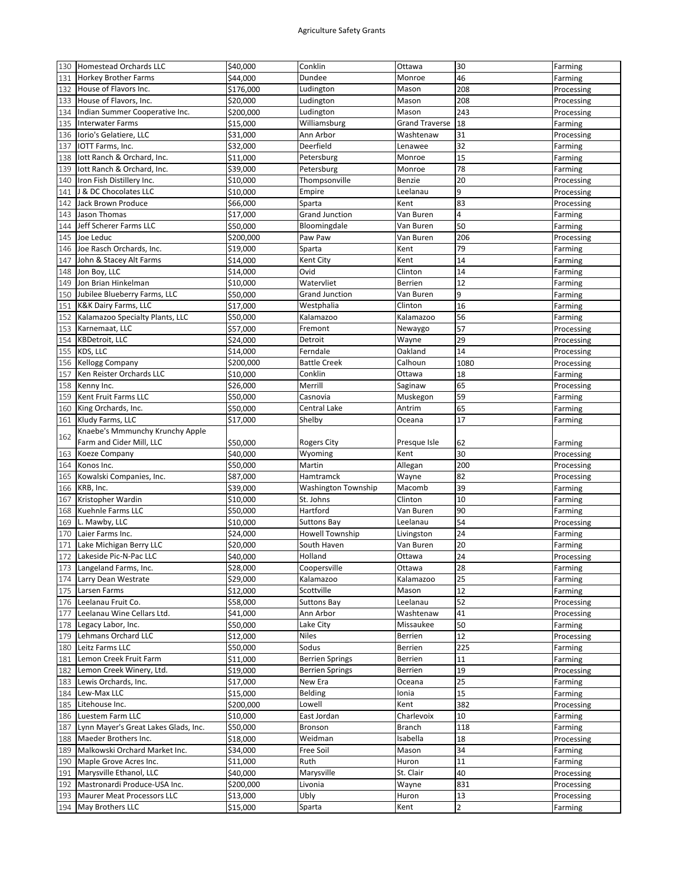| 130 | Homestead Orchards LLC               | \$40,000  | Conklin                | Ottawa                | 30     | Farming    |
|-----|--------------------------------------|-----------|------------------------|-----------------------|--------|------------|
| 131 | <b>Horkey Brother Farms</b>          | \$44,000  | Dundee                 | Monroe                | 46     | Farming    |
| 132 | House of Flavors Inc.                | \$176,000 | Ludington              | Mason                 | 208    | Processing |
| 133 | House of Flavors, Inc.               | \$20,000  | Ludington              | Mason                 | 208    | Processing |
| 134 | Indian Summer Cooperative Inc.       | \$200,000 | Ludington              | Mason                 | 243    | Processing |
| 135 | <b>Interwater Farms</b>              | \$15,000  | Williamsburg           | <b>Grand Traverse</b> | 18     | Farming    |
|     | Iorio's Gelatiere, LLC               |           | Ann Arbor              | Washtenaw             | 31     |            |
| 136 |                                      | \$31,000  |                        |                       |        | Processing |
| 137 | IOTT Farms, Inc.                     | \$32,000  | Deerfield              | Lenawee               | 32     | Farming    |
| 138 | lott Ranch & Orchard, Inc.           | \$11,000  | Petersburg             | Monroe                | 15     | Farming    |
| 139 | lott Ranch & Orchard, Inc.           | \$39,000  | Petersburg             | Monroe                | 78     | Farming    |
| 140 | Iron Fish Distillery Inc.            | \$10,000  | Thompsonville          | Benzie                | 20     | Processing |
| 141 | J & DC Chocolates LLC                | \$10,000  | Empire                 | Leelanau              | 9      | Processing |
| 142 | Jack Brown Produce                   | \$66,000  | Sparta                 | Kent                  | 83     | Processing |
| 143 | Jason Thomas                         | \$17,000  | <b>Grand Junction</b>  | Van Buren             | 4      | Farming    |
| 144 | Jeff Scherer Farms LLC               | \$50,000  | Bloomingdale           | Van Buren             | 50     | Farming    |
| 145 | Joe Leduc                            | \$200,000 | Paw Paw                | Van Buren             | 206    | Processing |
| 146 | Joe Rasch Orchards, Inc.             | \$19,000  | Sparta                 | Kent                  | 79     | Farming    |
| 147 | John & Stacey Alt Farms              | \$14,000  | Kent City              | Kent                  | 14     | Farming    |
| 148 | Jon Boy, LLC                         | \$14,000  | Ovid                   | Clinton               | 14     | Farming    |
| 149 | Jon Brian Hinkelman                  | \$10,000  | Watervliet             | Berrien               | 12     | Farming    |
| 150 | Jubilee Blueberry Farms, LLC         | \$50,000  | <b>Grand Junction</b>  | Van Buren             | 9      | Farming    |
| 151 | <b>K&amp;K Dairy Farms, LLC</b>      | \$17,000  | Westphalia             | Clinton               | 16     | Farming    |
| 152 | Kalamazoo Specialty Plants, LLC      |           | Kalamazoo              | Kalamazoo             | 56     |            |
|     |                                      | \$50,000  |                        |                       |        | Farming    |
| 153 | Karnemaat, LLC                       | \$57,000  | Fremont                | Newaygo               | 57     | Processing |
| 154 | <b>KBDetroit, LLC</b>                | \$24,000  | Detroit                | Wayne                 | 29     | Processing |
| 155 | KDS, LLC                             | \$14,000  | Ferndale               | Oakland               | 14     | Processing |
| 156 | <b>Kellogg Company</b>               | \$200,000 | <b>Battle Creek</b>    | Calhoun               | 1080   | Processing |
| 157 | Ken Reister Orchards LLC             | \$10,000  | Conklin                | Ottawa                | 18     | Farming    |
| 158 | Kenny Inc.                           | \$26,000  | Merrill                | Saginaw               | 65     | Processing |
| 159 | Kent Fruit Farms LLC                 | \$50,000  | Casnovia               | Muskegon              | 59     | Farming    |
| 160 | King Orchards, Inc.                  | \$50,000  | Central Lake           | Antrim                | 65     | Farming    |
| 161 | Kludy Farms, LLC                     | \$17,000  | Shelby                 | Oceana                | 17     | Farming    |
|     | Knaebe's Mmmunchy Krunchy Apple      |           |                        |                       |        |            |
| 162 | Farm and Cider Mill, LLC             | \$50,000  | <b>Rogers City</b>     | Presque Isle          | 62     | Farming    |
| 163 | Koeze Company                        | \$40,000  | Wyoming                | Kent                  | 30     | Processing |
| 164 | Konos Inc.                           | \$50,000  | Martin                 | Allegan               | 200    | Processing |
| 165 | Kowalski Companies, Inc.             | \$87,000  | Hamtramck              | Wayne                 | 82     | Processing |
| 166 | KRB, Inc.                            | \$39,000  | Washington Township    | Macomb                | 39     | Farming    |
| 167 | Kristopher Wardin                    | \$10,000  | St. Johns              | Clinton               | 10     | Farming    |
| 168 | Kuehnle Farms LLC                    | \$50,000  | Hartford               | Van Buren             | 90     |            |
|     | L. Mawby, LLC                        |           |                        |                       | 54     | Farming    |
| 169 |                                      | \$10,000  | <b>Suttons Bay</b>     | Leelanau              |        | Processing |
| 170 | Laier Farms Inc.                     | \$24,000  | <b>Howell Township</b> | Livingston            | 24     | Farming    |
| 171 | Lake Michigan Berry LLC              | \$20,000  | South Haven            | Van Buren             | 20     | Farming    |
| 172 | Lakeside Pic-N-Pac LLC               | \$40,000  | Holland                | Ottawa                | 24     | Processing |
|     | 173 Langeland Farms, Inc.            | \$28,000  | Coopersville           | Ottawa                | 28     | Farming    |
| 174 | Larry Dean Westrate                  |           |                        |                       |        |            |
| 175 |                                      | \$29,000  | Kalamazoo              | Kalamazoo             | 25     | Farming    |
| 176 | Larsen Farms                         | \$12,000  | Scottville             | Mason                 | 12     | Farming    |
|     | Leelanau Fruit Co.                   | \$58,000  | <b>Suttons Bay</b>     | Leelanau              | 52     | Processing |
| 177 | Leelanau Wine Cellars Ltd.           | \$41,000  | Ann Arbor              | Washtenaw             | 41     | Processing |
| 178 | Legacy Labor, Inc.                   | \$50,000  | Lake City              | Missaukee             | 50     | Farming    |
| 179 | Lehmans Orchard LLC                  | \$12,000  | Niles                  | Berrien               | 12     | Processing |
| 180 | Leitz Farms LLC                      | \$50,000  | Sodus                  | Berrien               | 225    | Farming    |
|     | Lemon Creek Fruit Farm               |           | <b>Berrien Springs</b> | Berrien               |        |            |
| 181 | Lemon Creek Winery, Ltd.             | \$11,000  |                        |                       | $11\,$ | Farming    |
| 182 |                                      | \$19,000  | <b>Berrien Springs</b> | Berrien               | 19     | Processing |
| 183 | Lewis Orchards, Inc.                 | \$17,000  | New Era                | Oceana                | 25     | Farming    |
| 184 | Lew-Max LLC                          | \$15,000  | Belding                | Ionia                 | 15     | Farming    |
| 185 | Litehouse Inc.                       | \$200,000 | Lowell                 | Kent                  | 382    | Processing |
| 186 | Luestem Farm LLC                     | \$10,000  | East Jordan            | Charlevoix            | 10     | Farming    |
| 187 | Lynn Mayer's Great Lakes Glads, Inc. | \$50,000  | Bronson                | Branch                | 118    | Farming    |
| 188 | Maeder Brothers Inc.                 | \$18,000  | Weidman                | Isabella              | 18     | Processing |
| 189 | Malkowski Orchard Market Inc.        | \$34,000  | Free Soil              | Mason                 | 34     | Farming    |
| 190 | Maple Grove Acres Inc.               | \$11,000  | Ruth                   | Huron                 | $11\,$ | Farming    |
| 191 | Marysville Ethanol, LLC              | \$40,000  | Marysville             | St. Clair             | 40     | Processing |
| 192 | Mastronardi Produce-USA Inc.         | \$200,000 | Livonia                | Wayne                 | 831    | Processing |
| 193 | <b>Maurer Meat Processors LLC</b>    | \$13,000  | Ubly                   | Huron                 | 13     | Processing |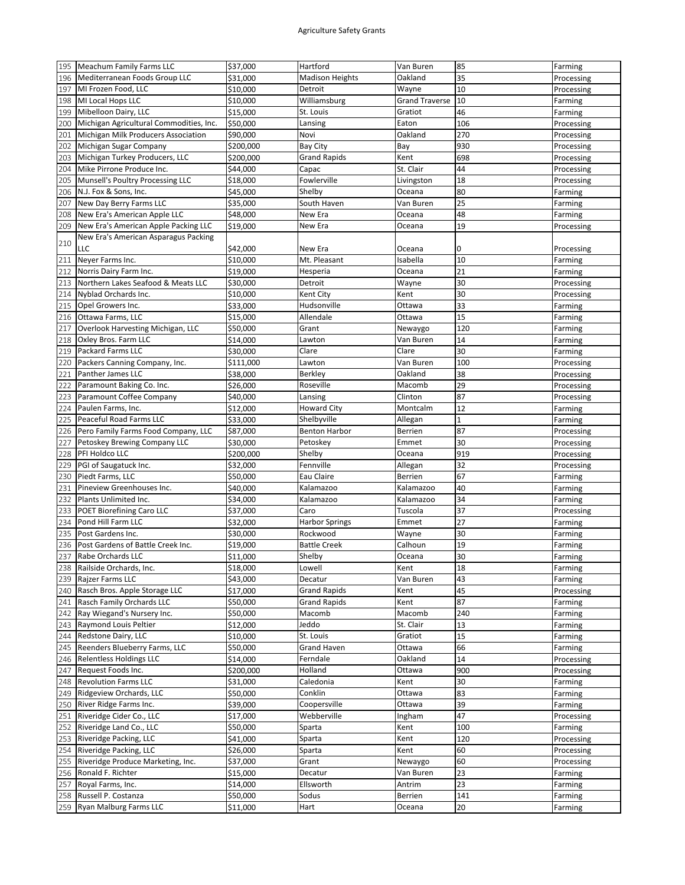|     | Meachum Family Farms LLC                | \$37,000  | Hartford               | Van Buren             | 85          | Farming    |
|-----|-----------------------------------------|-----------|------------------------|-----------------------|-------------|------------|
| 196 | Mediterranean Foods Group LLC           | \$31,000  | <b>Madison Heights</b> | Oakland               | 35          | Processing |
| 197 | MI Frozen Food, LLC                     | \$10,000  | Detroit                | Wayne                 | 10          | Processing |
| 198 | MI Local Hops LLC                       | \$10,000  | Williamsburg           | <b>Grand Traverse</b> | 10          | Farming    |
| 199 | Mibelloon Dairy, LLC                    | \$15,000  | St. Louis              | Gratiot               | 46          |            |
|     | Michigan Agricultural Commodities, Inc. | \$50,000  | Lansing                | Eaton                 | 106         | Farming    |
| 200 |                                         |           |                        |                       |             | Processing |
| 201 | Michigan Milk Producers Association     | \$90,000  | Novi                   | Oakland               | 270         | Processing |
| 202 | Michigan Sugar Company                  | \$200,000 | Bay City               | Bay                   | 930         | Processing |
| 203 | Michigan Turkey Producers, LLC          | \$200,000 | <b>Grand Rapids</b>    | Kent                  | 698         | Processing |
| 204 | Mike Pirrone Produce Inc.               | \$44,000  | Capac                  | St. Clair             | 44          | Processing |
| 205 | Munsell's Poultry Processing LLC        | \$18,000  | Fowlerville            | Livingston            | 18          | Processing |
| 206 | N.J. Fox & Sons, Inc.                   | \$45,000  | Shelby                 | Oceana                | 80          | Farming    |
| 207 | New Day Berry Farms LLC                 | \$35,000  | South Haven            | Van Buren             | 25          | Farming    |
| 208 | New Era's American Apple LLC            | \$48,000  | New Era                | Oceana                | 48          | Farming    |
| 209 | New Era's American Apple Packing LLC    | \$19,000  | New Era                | Oceana                | 19          | Processing |
|     | New Era's American Asparagus Packing    |           |                        |                       |             |            |
| 210 | LLC                                     | \$42,000  | New Era                | Oceana                | 0           | Processing |
| 211 | Neyer Farms Inc.                        | \$10,000  | Mt. Pleasant           | Isabella              | 10          | Farming    |
| 212 | Norris Dairy Farm Inc.                  | \$19,000  | Hesperia               | Oceana                | 21          | Farming    |
| 213 | Northern Lakes Seafood & Meats LLC      | \$30,000  | Detroit                | Wayne                 | 30          | Processing |
| 214 | Nyblad Orchards Inc.                    | \$10,000  | Kent City              | Kent                  | 30          | Processing |
|     |                                         |           | Hudsonville            | Ottawa                | 33          |            |
| 215 | Opel Growers Inc.                       | \$33,000  |                        |                       |             | Farming    |
| 216 | Ottawa Farms, LLC                       | \$15,000  | Allendale              | Ottawa                | 15          | Farming    |
| 217 | Overlook Harvesting Michigan, LLC       | \$50,000  | Grant                  | Newaygo               | 120         | Farming    |
| 218 | Oxley Bros. Farm LLC                    | \$14,000  | Lawton                 | Van Buren             | 14          | Farming    |
| 219 | <b>Packard Farms LLC</b>                | \$30,000  | Clare                  | Clare                 | 30          | Farming    |
| 220 | Packers Canning Company, Inc.           | \$111,000 | Lawton                 | Van Buren             | 100         | Processing |
| 221 | Panther James LLC                       | \$38,000  | Berkley                | Oakland               | 38          | Processing |
| 222 | Paramount Baking Co. Inc.               | \$26,000  | Roseville              | Macomb                | 29          | Processing |
| 223 | Paramount Coffee Company                | \$40,000  | Lansing                | Clinton               | 87          | Processing |
| 224 | Paulen Farms, Inc.                      | \$12,000  | <b>Howard City</b>     | Montcalm              | 12          | Farming    |
| 225 | Peaceful Road Farms LLC                 | \$33,000  | Shelbyville            | Allegan               | $\mathbf 1$ | Farming    |
| 226 | Pero Family Farms Food Company, LLC     | \$87,000  | <b>Benton Harbor</b>   | <b>Berrien</b>        | 87          | Processing |
| 227 | Petoskey Brewing Company LLC            | \$30,000  | Petoskey               | Emmet                 | 30          | Processing |
| 228 | PFI Holdco LLC                          | \$200,000 | Shelby                 | Oceana                | 919         | Processing |
| 229 | PGI of Saugatuck Inc.                   | \$32,000  | Fennville              | Allegan               | 32          | Processing |
|     | Piedt Farms, LLC                        |           | Eau Claire             | Berrien               | 67          |            |
| 230 |                                         | \$50,000  |                        |                       |             | Farming    |
| 231 | Pineview Greenhouses Inc.               | \$40,000  | Kalamazoo              | Kalamazoo             | 40          | Farming    |
| 232 |                                         |           |                        |                       |             |            |
|     | Plants Unlimited Inc.                   | \$34,000  | Kalamazoo              | Kalamazoo             | 34          | Farming    |
| 233 | POET Biorefining Caro LLC               | \$37,000  | Caro                   | Tuscola               | 37          | Processing |
| 234 | Pond Hill Farm LLC                      | \$32,000  | <b>Harbor Springs</b>  | Emmet                 | 27          | Farming    |
| 235 | Post Gardens Inc.                       | \$30,000  | Rockwood               | Wayne                 | 30          | Farming    |
| 236 | Post Gardens of Battle Creek Inc.       | \$19,000  | <b>Battle Creek</b>    | Calhoun               | 19          | Farming    |
| 237 | Rabe Orchards LLC                       | \$11,000  | Shelby                 | Oceana                | 30          | Farming    |
| 238 | Railside Orchards, Inc.                 | \$18,000  | Lowell                 | Kent                  | 18          | Farming    |
| 239 | Rajzer Farms LLC                        | \$43,000  | Decatur                | Van Buren             | 43          | Farming    |
| 240 | Rasch Bros. Apple Storage LLC           | \$17,000  | <b>Grand Rapids</b>    | Kent                  | 45          | Processing |
| 241 | Rasch Family Orchards LLC               | \$50,000  | <b>Grand Rapids</b>    | Kent                  | 87          | Farming    |
| 242 | Ray Wiegand's Nursery Inc.              | \$50,000  | Macomb                 | Macomb                | 240         | Farming    |
| 243 | Raymond Louis Peltier                   |           | Jeddo                  | St. Clair             | 13          | Farming    |
|     |                                         | \$12,000  |                        |                       |             |            |
| 244 | Redstone Dairy, LLC                     | \$10,000  | St. Louis              | Gratiot               | 15          | Farming    |
| 245 | Reenders Blueberry Farms, LLC           | \$50,000  | <b>Grand Haven</b>     | Ottawa                | 66          | Farming    |
| 246 | <b>Relentless Holdings LLC</b>          | \$14,000  | Ferndale               | Oakland               | 14          | Processing |
| 247 | Request Foods Inc.                      | \$200,000 | Holland                | Ottawa                | 900         | Processing |
| 248 | <b>Revolution Farms LLC</b>             | \$31,000  | Caledonia              | Kent                  | 30          | Farming    |
| 249 | Ridgeview Orchards, LLC                 | \$50,000  | Conklin                | Ottawa                | 83          | Farming    |
| 250 | River Ridge Farms Inc.                  | \$39,000  | Coopersville           | Ottawa                | 39          | Farming    |
| 251 | Riveridge Cider Co., LLC                | \$17,000  | Webberville            | Ingham                | 47          | Processing |
| 252 | Riveridge Land Co., LLC                 | \$50,000  | Sparta                 | Kent                  | 100         | Farming    |
| 253 | Riveridge Packing, LLC                  | \$41,000  | Sparta                 | Kent                  | 120         | Processing |
| 254 | Riveridge Packing, LLC                  | \$26,000  | Sparta                 | Kent                  | 60          | Processing |
| 255 | Riveridge Produce Marketing, Inc.       | \$37,000  | Grant                  | Newaygo               | 60          | Processing |
| 256 | Ronald F. Richter                       | \$15,000  | Decatur                | Van Buren             | 23          | Farming    |
| 257 | Royal Farms, Inc.                       | \$14,000  | Ellsworth              | Antrim                | 23          | Farming    |
| 258 | Russell P. Costanza                     | \$50,000  | Sodus                  | Berrien               | 141         | Farming    |
|     | 259 Ryan Malburg Farms LLC              | \$11,000  | Hart                   | Oceana                | 20          | Farming    |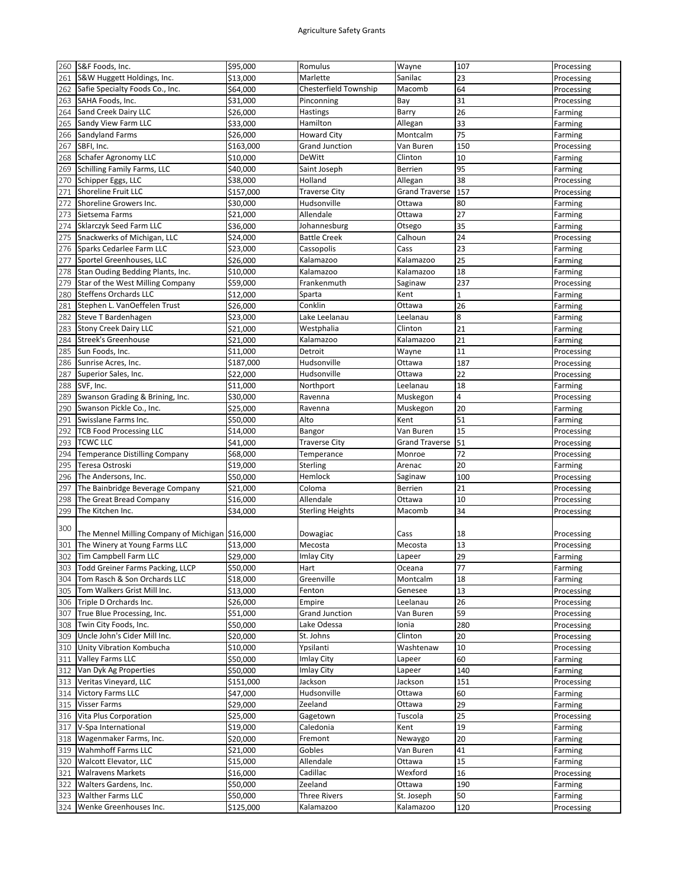| 260 | S&F Foods, Inc.                                | \$95,000  | Romulus                      | Wayne                            | 107         | Processing            |
|-----|------------------------------------------------|-----------|------------------------------|----------------------------------|-------------|-----------------------|
| 261 | S&W Huggett Holdings, Inc.                     | \$13,000  | Marlette                     | Sanilac                          | 23          | Processing            |
| 262 | Safie Specialty Foods Co., Inc.                | \$64,000  | <b>Chesterfield Township</b> | Macomb                           | 64          | Processing            |
| 263 | SAHA Foods, Inc.                               | \$31,000  | Pinconning                   | Bay                              | 31          | Processing            |
| 264 | Sand Creek Dairy LLC                           | \$26,000  | Hastings                     | Barry                            | 26          | Farming               |
| 265 | Sandy View Farm LLC                            | \$33,000  | Hamilton                     | Allegan                          | 33          | Farming               |
| 266 | Sandyland Farms                                | \$26,000  | <b>Howard City</b>           | Montcalm                         | 75          | Farming               |
| 267 | SBFI, Inc.                                     | \$163,000 | <b>Grand Junction</b>        | Van Buren                        | 150         | Processing            |
| 268 | Schafer Agronomy LLC                           | \$10,000  | DeWitt                       | Clinton                          | 10          | Farming               |
| 269 | Schilling Family Farms, LLC                    | \$40,000  | Saint Joseph                 | Berrien                          | 95          |                       |
|     | Schipper Eggs, LLC                             |           | Holland                      |                                  | 38          | Farming<br>Processing |
| 270 | <b>Shoreline Fruit LLC</b>                     | \$38,000  | <b>Traverse City</b>         | Allegan<br><b>Grand Traverse</b> | 157         |                       |
| 271 |                                                | \$157,000 |                              |                                  |             | Processing            |
| 272 | Shoreline Growers Inc.                         | \$30,000  | Hudsonville                  | Ottawa                           | 80          | Farming               |
| 273 | Sietsema Farms                                 | \$21,000  | Allendale                    | Ottawa                           | 27          | Farming               |
| 274 | Sklarczyk Seed Farm LLC                        | \$36,000  | Johannesburg                 | Otsego                           | 35          | Farming               |
| 275 | Snackwerks of Michigan, LLC                    | \$24,000  | <b>Battle Creek</b>          | Calhoun                          | 24          | Processing            |
| 276 | Sparks Cedarlee Farm LLC                       | \$23,000  | Cassopolis                   | Cass                             | 23          | Farming               |
| 277 | Sportel Greenhouses, LLC                       | \$26,000  | Kalamazoo                    | Kalamazoo                        | 25          | Farming               |
| 278 | Stan Ouding Bedding Plants, Inc.               | \$10,000  | Kalamazoo                    | Kalamazoo                        | 18          | Farming               |
| 279 | Star of the West Milling Company               | \$59,000  | Frankenmuth                  | Saginaw                          | 237         | Processing            |
| 280 | <b>Steffens Orchards LLC</b>                   | \$12,000  | Sparta                       | Kent                             | $\mathbf 1$ | Farming               |
| 281 | Stephen L. VanOeffelen Trust                   | \$26,000  | Conklin                      | Ottawa                           | 26          | Farming               |
| 282 | Steve T Bardenhagen                            | \$23,000  | Lake Leelanau                | Leelanau                         | 8           | Farming               |
| 283 | <b>Stony Creek Dairy LLC</b>                   | \$21,000  | Westphalia                   | Clinton                          | 21          | Farming               |
| 284 | <b>Streek's Greenhouse</b>                     | \$21,000  | Kalamazoo                    | Kalamazoo                        | 21          | Farming               |
| 285 | Sun Foods, Inc.                                | \$11,000  | Detroit                      | Wayne                            | 11          | Processing            |
| 286 | Sunrise Acres, Inc.                            | \$187,000 | Hudsonville                  | Ottawa                           | 187         | Processing            |
| 287 | Superior Sales, Inc.                           | \$22,000  | Hudsonville                  | Ottawa                           | 22          | Processing            |
| 288 | SVF, Inc.                                      | \$11,000  | Northport                    | Leelanau                         | 18          | Farming               |
| 289 | Swanson Grading & Brining, Inc.                | \$30,000  | Ravenna                      | Muskegon                         | 4           | Processing            |
| 290 | Swanson Pickle Co., Inc.                       | \$25,000  | Ravenna                      | Muskegon                         | 20          | Farming               |
| 291 | Swisslane Farms Inc.                           | \$50,000  | Alto                         | Kent                             | 51          | Farming               |
| 292 | <b>TCB Food Processing LLC</b>                 | \$14,000  | Bangor                       | Van Buren                        | 15          | Processing            |
| 293 | <b>TCWC LLC</b>                                | \$41,000  | <b>Traverse City</b>         | <b>Grand Traverse</b>            | 51          | Processing            |
| 294 | <b>Temperance Distilling Company</b>           | \$68,000  | Temperance                   | Monroe                           | 72          | Processing            |
| 295 | Teresa Ostroski                                | \$19,000  | Sterling                     | Arenac                           | 20          | Farming               |
| 296 | The Andersons, Inc.                            | \$50,000  | Hemlock                      | Saginaw                          | 100         | Processing            |
| 297 | The Bainbridge Beverage Company                | \$21,000  | Coloma                       | Berrien                          | 21          | Processing            |
| 298 | The Great Bread Company                        | \$16,000  | Allendale                    | Ottawa                           | 10          | Processing            |
| 299 | The Kitchen Inc.                               | \$34,000  | <b>Sterling Heights</b>      | Macomb                           | 34          | Processing            |
|     |                                                |           |                              |                                  |             |                       |
| 300 | The Mennel Milling Company of Michigan 516,000 |           |                              |                                  |             |                       |
|     | The Winery at Young Farms LLC                  |           | Dowagiac                     | Cass                             | 18          | Processing            |
| 301 |                                                | \$13,000  | Mecosta                      | Mecosta                          | 13          | Processing            |
| 302 | Tim Campbell Farm LLC                          | \$29,000  | <b>Imlay City</b>            | Lapeer                           | 29          | Farming               |
| 303 | Todd Greiner Farms Packing, LLCP               | \$50,000  | Hart                         | Oceana                           | 77          | Farming               |
| 304 | Tom Rasch & Son Orchards LLC                   | \$18,000  | Greenville                   | Montcalm                         | 18          | Farming               |
| 305 | Tom Walkers Grist Mill Inc.                    | \$13,000  | Fenton                       | Genesee                          | 13          | Processing            |
| 306 | Triple D Orchards Inc.                         | \$26,000  | Empire                       | Leelanau                         | 26          | Processing            |
| 307 | True Blue Processing, Inc.                     | \$51,000  | <b>Grand Junction</b>        | Van Buren                        | 59          | Processing            |
| 308 | Twin City Foods, Inc.                          | \$50,000  | Lake Odessa                  | Ionia                            | 280         | Processing            |
| 309 | Uncle John's Cider Mill Inc.                   | \$20,000  | St. Johns                    | Clinton                          | 20          | Processing            |
| 310 | Unity Vibration Kombucha                       | \$10,000  | Ypsilanti                    | Washtenaw                        | 10          | Processing            |
| 311 | <b>Valley Farms LLC</b>                        | \$50,000  | Imlay City                   | Lapeer                           | 60          | Farming               |
| 312 | Van Dyk Ag Properties                          | \$50,000  | Imlay City                   | Lapeer                           | 140         | Farming               |
| 313 | Veritas Vineyard, LLC                          | \$151,000 | Jackson                      | Jackson                          | 151         | Processing            |
| 314 | <b>Victory Farms LLC</b>                       | \$47,000  | Hudsonville                  | Ottawa                           | 60          | Farming               |
| 315 | <b>Visser Farms</b>                            | \$29,000  | Zeeland                      | Ottawa                           | 29          | Farming               |
| 316 | Vita Plus Corporation                          | \$25,000  | Gagetown                     | Tuscola                          | 25          | Processing            |
| 317 | V-Spa International                            | \$19,000  | Caledonia                    | Kent                             | 19          | Farming               |
| 318 | Wagenmaker Farms, Inc.                         | \$20,000  | Fremont                      | Newaygo                          | 20          | Farming               |
| 319 | <b>Wahmhoff Farms LLC</b>                      | \$21,000  | Gobles                       | Van Buren                        | 41          | Farming               |
| 320 | <b>Walcott Elevator, LLC</b>                   | \$15,000  | Allendale                    | Ottawa                           | 15          | Farming               |
| 321 | <b>Walravens Markets</b>                       | \$16,000  | Cadillac                     | Wexford                          | 16          | Processing            |
| 322 | Walters Gardens, Inc.                          | \$50,000  | Zeeland                      | Ottawa                           | 190         | Farming               |
| 323 | <b>Walther Farms LLC</b>                       | \$50,000  | <b>Three Rivers</b>          | St. Joseph                       | 50          | Farming               |
| 324 | Wenke Greenhouses Inc.                         | \$125,000 | Kalamazoo                    | Kalamazoo                        | 120         | Processing            |
|     |                                                |           |                              |                                  |             |                       |